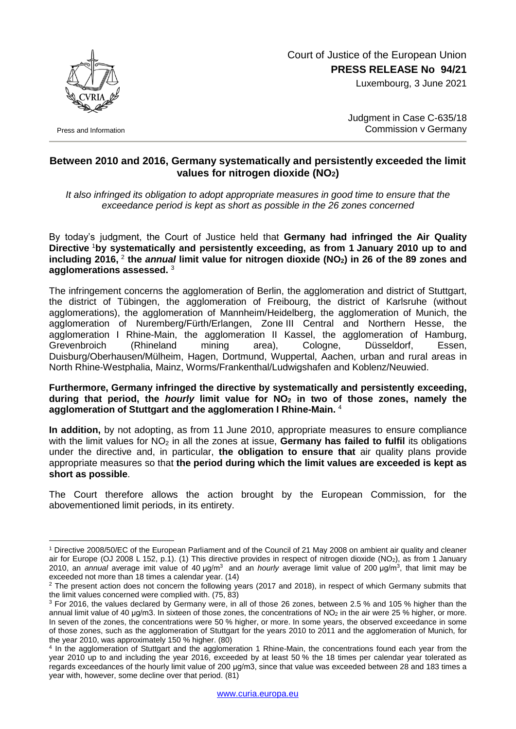Court of Justice of the European Union **PRESS RELEASE No 94/21**

Luxembourg, 3 June 2021



Press and Information

1

Judgment in Case C-635/18 Commission v Germany

## **Between 2010 and 2016, Germany systematically and persistently exceeded the limit values for nitrogen dioxide (NO2)**

*It also infringed its obligation to adopt appropriate measures in good time to ensure that the exceedance period is kept as short as possible in the 26 zones concerned*

By today's judgment, the Court of Justice held that **Germany had infringed the Air Quality Directive** <sup>1</sup>**by systematically and persistently exceeding, as from 1 January 2010 up to and including 2016,** <sup>2</sup> **the** *annual* **limit value for nitrogen dioxide (NO2) in 26 of the 89 zones and agglomerations assessed.** <sup>3</sup>

The infringement concerns the agglomeration of Berlin, the agglomeration and district of Stuttgart, the district of Tübingen, the agglomeration of Freibourg, the district of Karlsruhe (without agglomerations), the agglomeration of Mannheim/Heidelberg, the agglomeration of Munich, the agglomeration of Nuremberg/Fürth/Erlangen, Zone III Central and Northern Hesse, the agglomeration I Rhine-Main, the agglomeration II Kassel, the agglomeration of Hamburg, Grevenbroich (Rhineland mining area), Cologne, Düsseldorf, Essen, Duisburg/Oberhausen/Mülheim, Hagen, Dortmund, Wuppertal, Aachen, urban and rural areas in North Rhine-Westphalia, Mainz, Worms/Frankenthal/Ludwigshafen and Koblenz/Neuwied.

## **Furthermore, Germany infringed the directive by systematically and persistently exceeding, during that period, the** *hourly* **limit value for NO<sup>2</sup> in two of those zones, namely the agglomeration of Stuttgart and the agglomeration I Rhine-Main.** <sup>4</sup>

**In addition,** by not adopting, as from 11 June 2010, appropriate measures to ensure compliance with the limit values for NO<sub>2</sub> in all the zones at issue, **Germany has failed to fulfil** its obligations under the directive and, in particular, **the obligation to ensure that** air quality plans provide appropriate measures so that **the period during which the limit values are exceeded is kept as short as possible**.

The Court therefore allows the action brought by the European Commission, for the abovementioned limit periods, in its entirety.

<sup>1</sup> Directive 2008/50/EC of the European Parliament and of the Council of 21 May 2008 on ambient air quality and cleaner air for Europe (OJ 2008 L 152, p.1). (1) This directive provides in respect of nitrogen dioxide (NO2), as from 1 January 2010, an *annual* average imit value of 40 μg/m<sup>3</sup>and an *hourly* average limit value of 200 μg/m<sup>3</sup> , that limit may be exceeded not more than 18 times a calendar year. (14)

 $2$  The present action does not concern the following years (2017 and 2018), in respect of which Germany submits that the limit values concerned were complied with. (75, 83)

<sup>3</sup> For 2016, the values declared by Germany were, in all of those 26 zones, between 2.5 % and 105 % higher than the annual limit value of 40 μg/m3. In sixteen of those zones, the concentrations of NO<sup>2</sup> in the air were 25 % higher, or more. In seven of the zones, the concentrations were 50 % higher, or more. In some years, the observed exceedance in some of those zones, such as the agglomeration of Stuttgart for the years 2010 to 2011 and the agglomeration of Munich, for the year 2010, was approximately 150 % higher. (80)

<sup>4</sup> In the agglomeration of Stuttgart and the agglomeration 1 Rhine-Main, the concentrations found each year from the year 2010 up to and including the year 2016, exceeded by at least 50 % the 18 times per calendar year tolerated as regards exceedances of the hourly limit value of 200 μg/m3, since that value was exceeded between 28 and 183 times a year with, however, some decline over that period. (81)